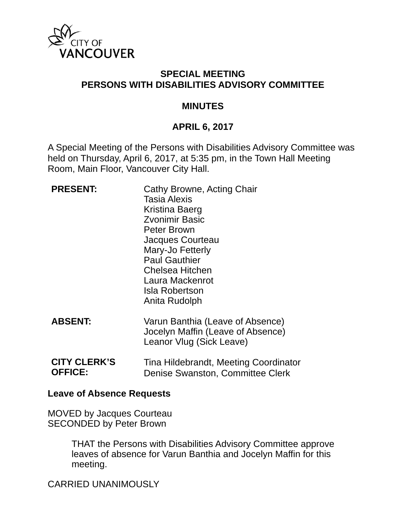

## **SPECIAL MEETING PERSONS WITH DISABILITIES ADVISORY COMMITTEE**

#### **MINUTES**

## **APRIL 6, 2017**

A Special Meeting of the Persons with Disabilities Advisory Committee was held on Thursday, April 6, 2017, at 5:35 pm, in the Town Hall Meeting Room, Main Floor, Vancouver City Hall.

| <b>PRESENT:</b> | Cathy Browne, Acting Chair<br><b>Tasia Alexis</b><br>Kristina Baerg<br><b>Zvonimir Basic</b><br>Peter Brown<br>Jacques Courteau<br>Mary-Jo Fetterly<br><b>Paul Gauthier</b><br>Chelsea Hitchen<br>Laura Mackenrot<br><b>Isla Robertson</b><br>Anita Rudolph |
|-----------------|-------------------------------------------------------------------------------------------------------------------------------------------------------------------------------------------------------------------------------------------------------------|
| <b>ABSENT:</b>  | Varun Banthia (Leave of Absence)<br>Jocelyn Maffin (Leave of Absence)<br>Leanor Vlug (Sick Leave)                                                                                                                                                           |
|                 |                                                                                                                                                                                                                                                             |

**CITY CLERK'S OFFICE:**  Tina Hildebrandt, Meeting Coordinator Denise Swanston, Committee Clerk

#### **Leave of Absence Requests**

MOVED by Jacques Courteau SECONDED by Peter Brown

> THAT the Persons with Disabilities Advisory Committee approve leaves of absence for Varun Banthia and Jocelyn Maffin for this meeting.

CARRIED UNANIMOUSLY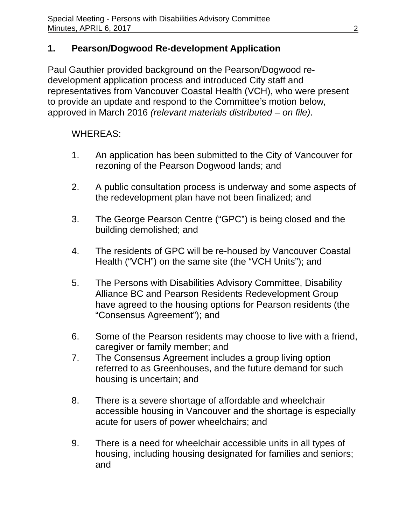# **1. Pearson/Dogwood Re-development Application**

Paul Gauthier provided background on the Pearson/Dogwood redevelopment application process and introduced City staff and representatives from Vancouver Coastal Health (VCH), who were present to provide an update and respond to the Committee's motion below, approved in March 2016 *(relevant materials distributed – on file)*.

## WHEREAS:

- 1. An application has been submitted to the City of Vancouver for rezoning of the Pearson Dogwood lands; and
- 2. A public consultation process is underway and some aspects of the redevelopment plan have not been finalized; and
- 3. The George Pearson Centre ("GPC") is being closed and the building demolished; and
- 4. The residents of GPC will be re-housed by Vancouver Coastal Health ("VCH") on the same site (the "VCH Units"); and
- 5. The Persons with Disabilities Advisory Committee, Disability Alliance BC and Pearson Residents Redevelopment Group have agreed to the housing options for Pearson residents (the "Consensus Agreement"); and
- 6. Some of the Pearson residents may choose to live with a friend, caregiver or family member; and
- 7. The Consensus Agreement includes a group living option referred to as Greenhouses, and the future demand for such housing is uncertain; and
- 8. There is a severe shortage of affordable and wheelchair accessible housing in Vancouver and the shortage is especially acute for users of power wheelchairs; and
- 9. There is a need for wheelchair accessible units in all types of housing, including housing designated for families and seniors; and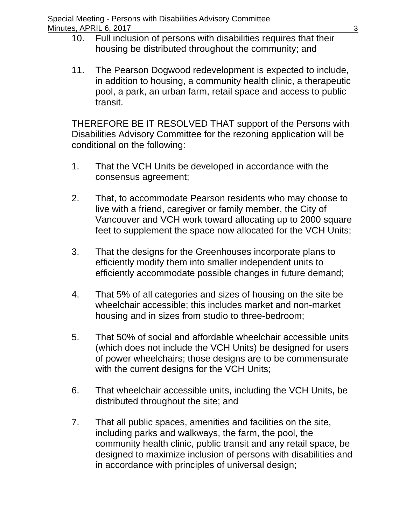- 10. Full inclusion of persons with disabilities requires that their housing be distributed throughout the community; and
- 11. The Pearson Dogwood redevelopment is expected to include, in addition to housing, a community health clinic, a therapeutic pool, a park, an urban farm, retail space and access to public transit.

THEREFORE BE IT RESOLVED THAT support of the Persons with Disabilities Advisory Committee for the rezoning application will be conditional on the following:

- 1. That the VCH Units be developed in accordance with the consensus agreement;
- 2. That, to accommodate Pearson residents who may choose to live with a friend, caregiver or family member, the City of Vancouver and VCH work toward allocating up to 2000 square feet to supplement the space now allocated for the VCH Units;
- 3. That the designs for the Greenhouses incorporate plans to efficiently modify them into smaller independent units to efficiently accommodate possible changes in future demand;
- 4. That 5% of all categories and sizes of housing on the site be wheelchair accessible; this includes market and non-market housing and in sizes from studio to three-bedroom;
- 5. That 50% of social and affordable wheelchair accessible units (which does not include the VCH Units) be designed for users of power wheelchairs; those designs are to be commensurate with the current designs for the VCH Units;
- 6. That wheelchair accessible units, including the VCH Units, be distributed throughout the site; and
- 7. That all public spaces, amenities and facilities on the site, including parks and walkways, the farm, the pool, the community health clinic, public transit and any retail space, be designed to maximize inclusion of persons with disabilities and in accordance with principles of universal design;